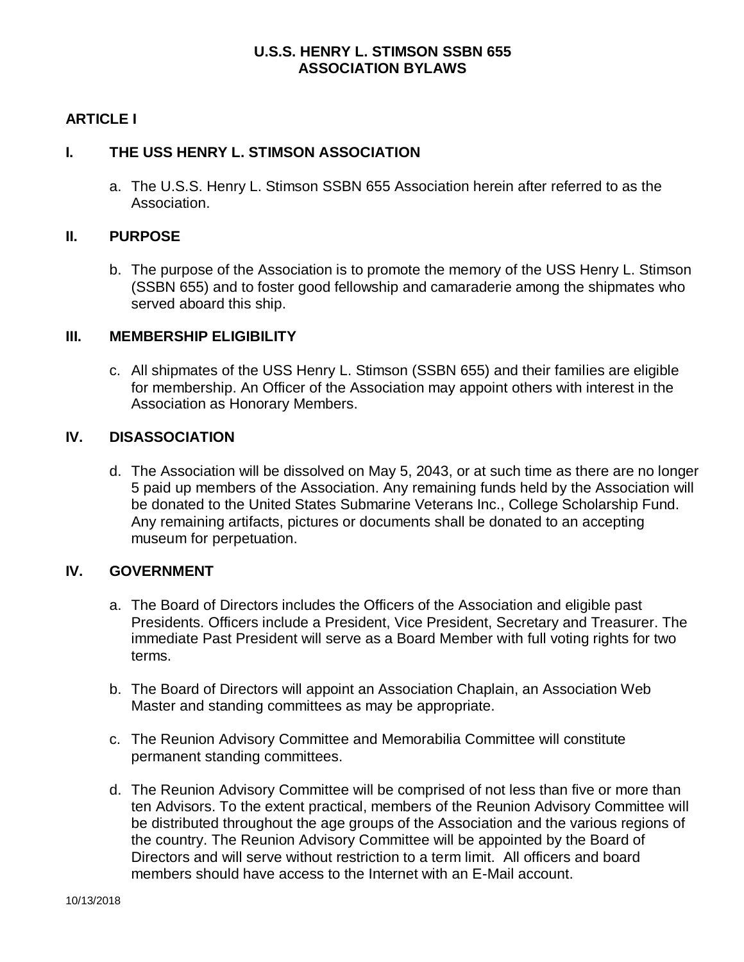## **U.S.S. HENRY L. STIMSON SSBN 655 ASSOCIATION BYLAWS**

## **ARTICLE I**

#### **I. THE USS HENRY L. STIMSON ASSOCIATION**

a. The U.S.S. Henry L. Stimson SSBN 655 Association herein after referred to as the Association.

#### **II. PURPOSE**

b. The purpose of the Association is to promote the memory of the USS Henry L. Stimson (SSBN 655) and to foster good fellowship and camaraderie among the shipmates who served aboard this ship.

#### **III. MEMBERSHIP ELIGIBILITY**

c. All shipmates of the USS Henry L. Stimson (SSBN 655) and their families are eligible for membership. An Officer of the Association may appoint others with interest in the Association as Honorary Members.

#### **IV. DISASSOCIATION**

d. The Association will be dissolved on May 5, 2043, or at such time as there are no longer 5 paid up members of the Association. Any remaining funds held by the Association will be donated to the United States Submarine Veterans Inc., College Scholarship Fund. Any remaining artifacts, pictures or documents shall be donated to an accepting museum for perpetuation.

#### **IV. GOVERNMENT**

- a. The Board of Directors includes the Officers of the Association and eligible past Presidents. Officers include a President, Vice President, Secretary and Treasurer. The immediate Past President will serve as a Board Member with full voting rights for two terms.
- b. The Board of Directors will appoint an Association Chaplain, an Association Web Master and standing committees as may be appropriate.
- c. The Reunion Advisory Committee and Memorabilia Committee will constitute permanent standing committees.
- d. The Reunion Advisory Committee will be comprised of not less than five or more than ten Advisors. To the extent practical, members of the Reunion Advisory Committee will be distributed throughout the age groups of the Association and the various regions of the country. The Reunion Advisory Committee will be appointed by the Board of Directors and will serve without restriction to a term limit. All officers and board members should have access to the Internet with an E-Mail account.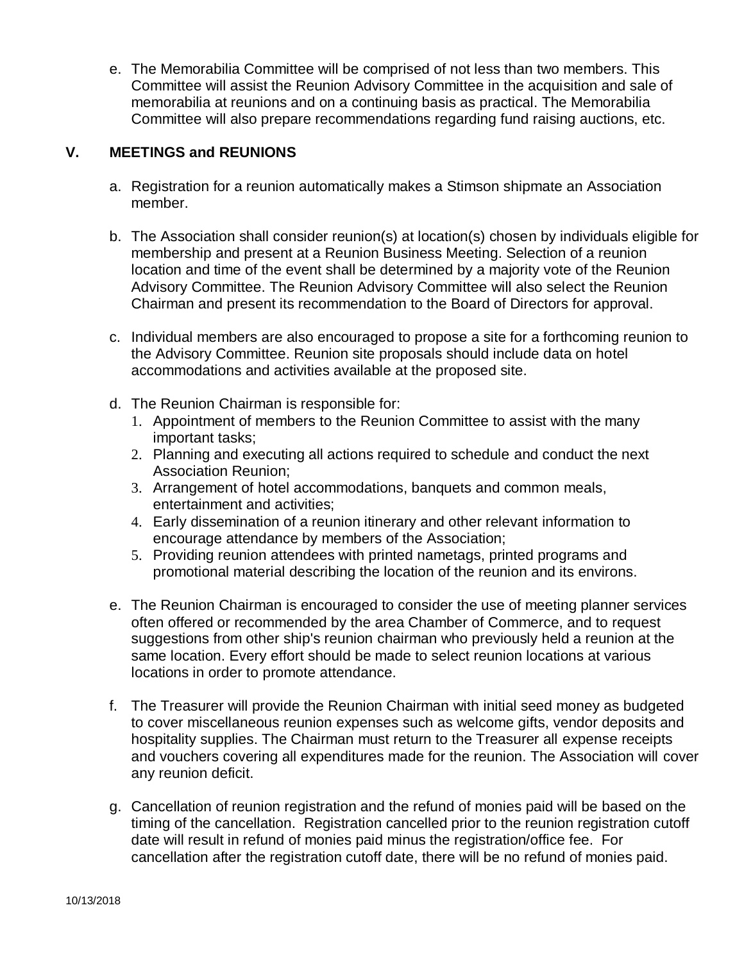e. The Memorabilia Committee will be comprised of not less than two members. This Committee will assist the Reunion Advisory Committee in the acquisition and sale of memorabilia at reunions and on a continuing basis as practical. The Memorabilia Committee will also prepare recommendations regarding fund raising auctions, etc.

## **V. MEETINGS and REUNIONS**

- a. Registration for a reunion automatically makes a Stimson shipmate an Association member.
- b. The Association shall consider reunion(s) at location(s) chosen by individuals eligible for membership and present at a Reunion Business Meeting. Selection of a reunion location and time of the event shall be determined by a majority vote of the Reunion Advisory Committee. The Reunion Advisory Committee will also select the Reunion Chairman and present its recommendation to the Board of Directors for approval.
- c. Individual members are also encouraged to propose a site for a forthcoming reunion to the Advisory Committee. Reunion site proposals should include data on hotel accommodations and activities available at the proposed site.
- d. The Reunion Chairman is responsible for:
	- 1. Appointment of members to the Reunion Committee to assist with the many important tasks;
	- 2. Planning and executing all actions required to schedule and conduct the next Association Reunion;
	- 3. Arrangement of hotel accommodations, banquets and common meals, entertainment and activities;
	- 4. Early dissemination of a reunion itinerary and other relevant information to encourage attendance by members of the Association;
	- 5. Providing reunion attendees with printed nametags, printed programs and promotional material describing the location of the reunion and its environs.
- e. The Reunion Chairman is encouraged to consider the use of meeting planner services often offered or recommended by the area Chamber of Commerce, and to request suggestions from other ship's reunion chairman who previously held a reunion at the same location. Every effort should be made to select reunion locations at various locations in order to promote attendance.
- f. The Treasurer will provide the Reunion Chairman with initial seed money as budgeted to cover miscellaneous reunion expenses such as welcome gifts, vendor deposits and hospitality supplies. The Chairman must return to the Treasurer all expense receipts and vouchers covering all expenditures made for the reunion. The Association will cover any reunion deficit.
- g. Cancellation of reunion registration and the refund of monies paid will be based on the timing of the cancellation. Registration cancelled prior to the reunion registration cutoff date will result in refund of monies paid minus the registration/office fee. For cancellation after the registration cutoff date, there will be no refund of monies paid.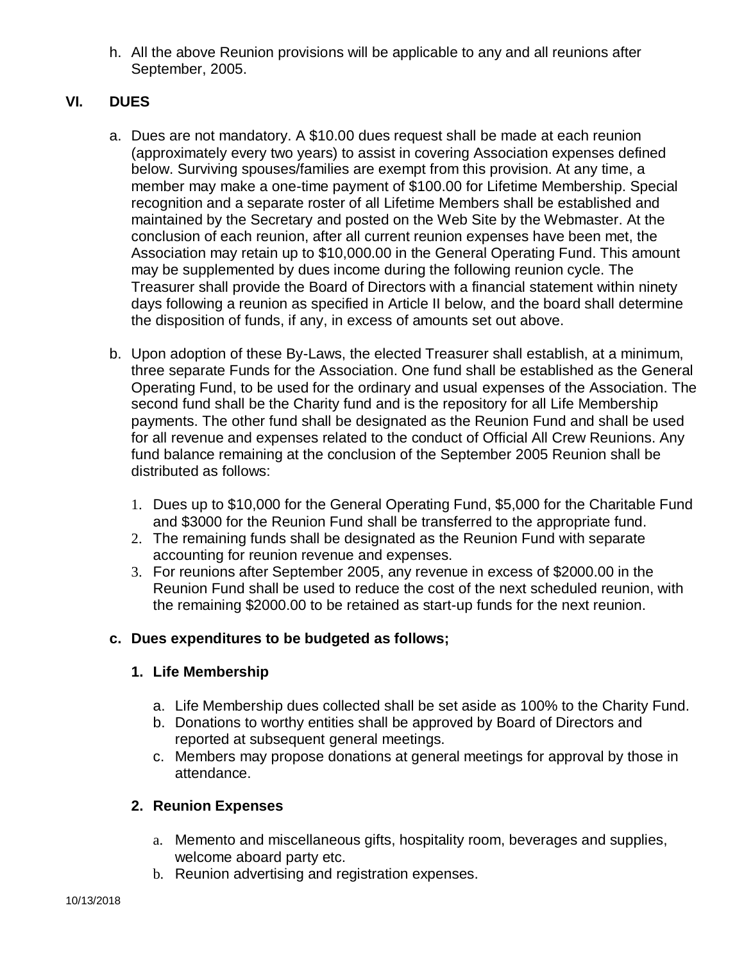h. All the above Reunion provisions will be applicable to any and all reunions after September, 2005.

# **VI. DUES**

- a. Dues are not mandatory. A \$10.00 dues request shall be made at each reunion (approximately every two years) to assist in covering Association expenses defined below. Surviving spouses/families are exempt from this provision. At any time, a member may make a one-time payment of \$100.00 for Lifetime Membership. Special recognition and a separate roster of all Lifetime Members shall be established and maintained by the Secretary and posted on the Web Site by the Webmaster. At the conclusion of each reunion, after all current reunion expenses have been met, the Association may retain up to \$10,000.00 in the General Operating Fund. This amount may be supplemented by dues income during the following reunion cycle. The Treasurer shall provide the Board of Directors with a financial statement within ninety days following a reunion as specified in Article II below, and the board shall determine the disposition of funds, if any, in excess of amounts set out above.
- b. Upon adoption of these By-Laws, the elected Treasurer shall establish, at a minimum, three separate Funds for the Association. One fund shall be established as the General Operating Fund, to be used for the ordinary and usual expenses of the Association. The second fund shall be the Charity fund and is the repository for all Life Membership payments. The other fund shall be designated as the Reunion Fund and shall be used for all revenue and expenses related to the conduct of Official All Crew Reunions. Any fund balance remaining at the conclusion of the September 2005 Reunion shall be distributed as follows:
	- 1. Dues up to \$10,000 for the General Operating Fund, \$5,000 for the Charitable Fund and \$3000 for the Reunion Fund shall be transferred to the appropriate fund.
	- 2. The remaining funds shall be designated as the Reunion Fund with separate accounting for reunion revenue and expenses.
	- 3. For reunions after September 2005, any revenue in excess of \$2000.00 in the Reunion Fund shall be used to reduce the cost of the next scheduled reunion, with the remaining \$2000.00 to be retained as start-up funds for the next reunion.

## **c. Dues expenditures to be budgeted as follows;**

## **1. Life Membership**

- a. Life Membership dues collected shall be set aside as 100% to the Charity Fund.
- b. Donations to worthy entities shall be approved by Board of Directors and reported at subsequent general meetings.
- c. Members may propose donations at general meetings for approval by those in attendance.

## **2. Reunion Expenses**

- a. Memento and miscellaneous gifts, hospitality room, beverages and supplies, welcome aboard party etc.
- b. Reunion advertising and registration expenses.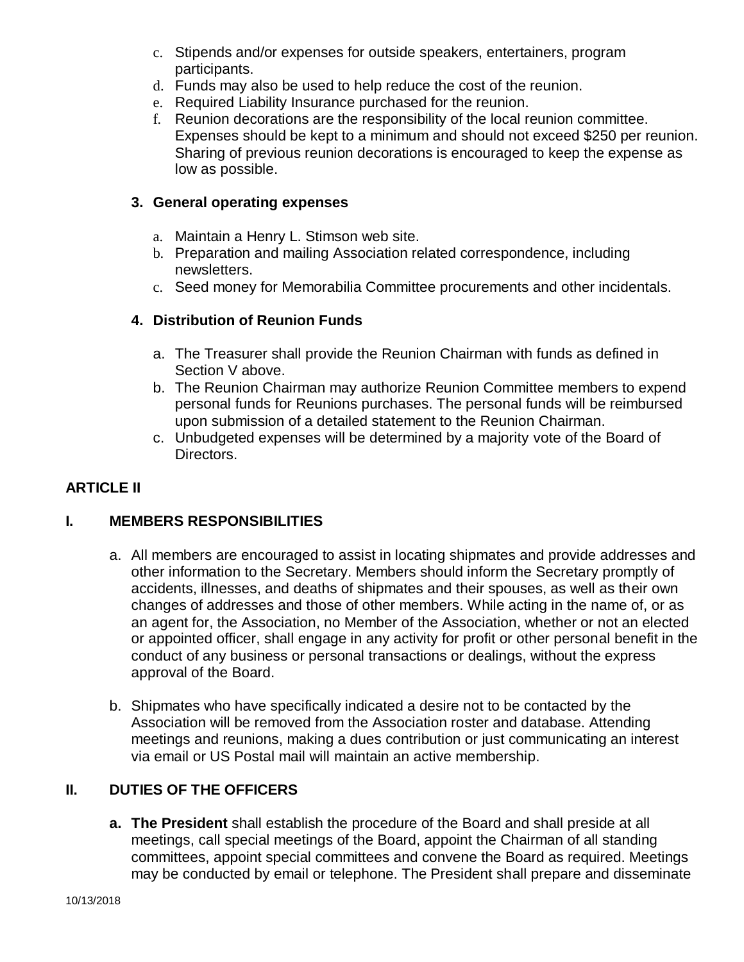- c. Stipends and/or expenses for outside speakers, entertainers, program participants.
- d. Funds may also be used to help reduce the cost of the reunion.
- e. Required Liability Insurance purchased for the reunion.
- f. Reunion decorations are the responsibility of the local reunion committee. Expenses should be kept to a minimum and should not exceed \$250 per reunion. Sharing of previous reunion decorations is encouraged to keep the expense as low as possible.

## **3. General operating expenses**

- a. Maintain a Henry L. Stimson web site.
- b. Preparation and mailing Association related correspondence, including newsletters.
- c. Seed money for Memorabilia Committee procurements and other incidentals.

# **4. Distribution of Reunion Funds**

- a. The Treasurer shall provide the Reunion Chairman with funds as defined in Section V above.
- b. The Reunion Chairman may authorize Reunion Committee members to expend personal funds for Reunions purchases. The personal funds will be reimbursed upon submission of a detailed statement to the Reunion Chairman.
- c. Unbudgeted expenses will be determined by a majority vote of the Board of Directors.

# **ARTICLE II**

# **I. MEMBERS RESPONSIBILITIES**

- a. All members are encouraged to assist in locating shipmates and provide addresses and other information to the Secretary. Members should inform the Secretary promptly of accidents, illnesses, and deaths of shipmates and their spouses, as well as their own changes of addresses and those of other members. While acting in the name of, or as an agent for, the Association, no Member of the Association, whether or not an elected or appointed officer, shall engage in any activity for profit or other personal benefit in the conduct of any business or personal transactions or dealings, without the express approval of the Board.
- b. Shipmates who have specifically indicated a desire not to be contacted by the Association will be removed from the Association roster and database. Attending meetings and reunions, making a dues contribution or just communicating an interest via email or US Postal mail will maintain an active membership.

## **II. DUTIES OF THE OFFICERS**

**a. The President** shall establish the procedure of the Board and shall preside at all meetings, call special meetings of the Board, appoint the Chairman of all standing committees, appoint special committees and convene the Board as required. Meetings may be conducted by email or telephone. The President shall prepare and disseminate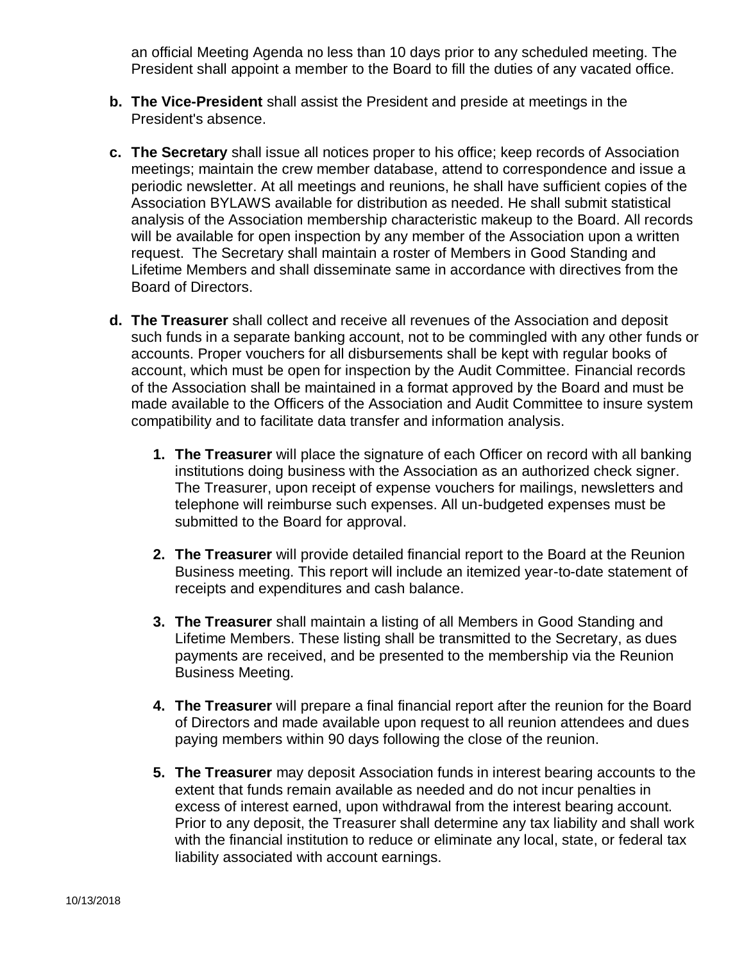an official Meeting Agenda no less than 10 days prior to any scheduled meeting. The President shall appoint a member to the Board to fill the duties of any vacated office.

- **b. The Vice-President** shall assist the President and preside at meetings in the President's absence.
- **c. The Secretary** shall issue all notices proper to his office; keep records of Association meetings; maintain the crew member database, attend to correspondence and issue a periodic newsletter. At all meetings and reunions, he shall have sufficient copies of the Association BYLAWS available for distribution as needed. He shall submit statistical analysis of the Association membership characteristic makeup to the Board. All records will be available for open inspection by any member of the Association upon a written request. The Secretary shall maintain a roster of Members in Good Standing and Lifetime Members and shall disseminate same in accordance with directives from the Board of Directors.
- **d. The Treasurer** shall collect and receive all revenues of the Association and deposit such funds in a separate banking account, not to be commingled with any other funds or accounts. Proper vouchers for all disbursements shall be kept with regular books of account, which must be open for inspection by the Audit Committee. Financial records of the Association shall be maintained in a format approved by the Board and must be made available to the Officers of the Association and Audit Committee to insure system compatibility and to facilitate data transfer and information analysis.
	- **1. The Treasurer** will place the signature of each Officer on record with all banking institutions doing business with the Association as an authorized check signer. The Treasurer, upon receipt of expense vouchers for mailings, newsletters and telephone will reimburse such expenses. All un-budgeted expenses must be submitted to the Board for approval.
	- **2. The Treasurer** will provide detailed financial report to the Board at the Reunion Business meeting. This report will include an itemized year-to-date statement of receipts and expenditures and cash balance.
	- **3. The Treasurer** shall maintain a listing of all Members in Good Standing and Lifetime Members. These listing shall be transmitted to the Secretary, as dues payments are received, and be presented to the membership via the Reunion Business Meeting.
	- **4. The Treasurer** will prepare a final financial report after the reunion for the Board of Directors and made available upon request to all reunion attendees and dues paying members within 90 days following the close of the reunion.
	- **5. The Treasurer** may deposit Association funds in interest bearing accounts to the extent that funds remain available as needed and do not incur penalties in excess of interest earned, upon withdrawal from the interest bearing account. Prior to any deposit, the Treasurer shall determine any tax liability and shall work with the financial institution to reduce or eliminate any local, state, or federal tax liability associated with account earnings.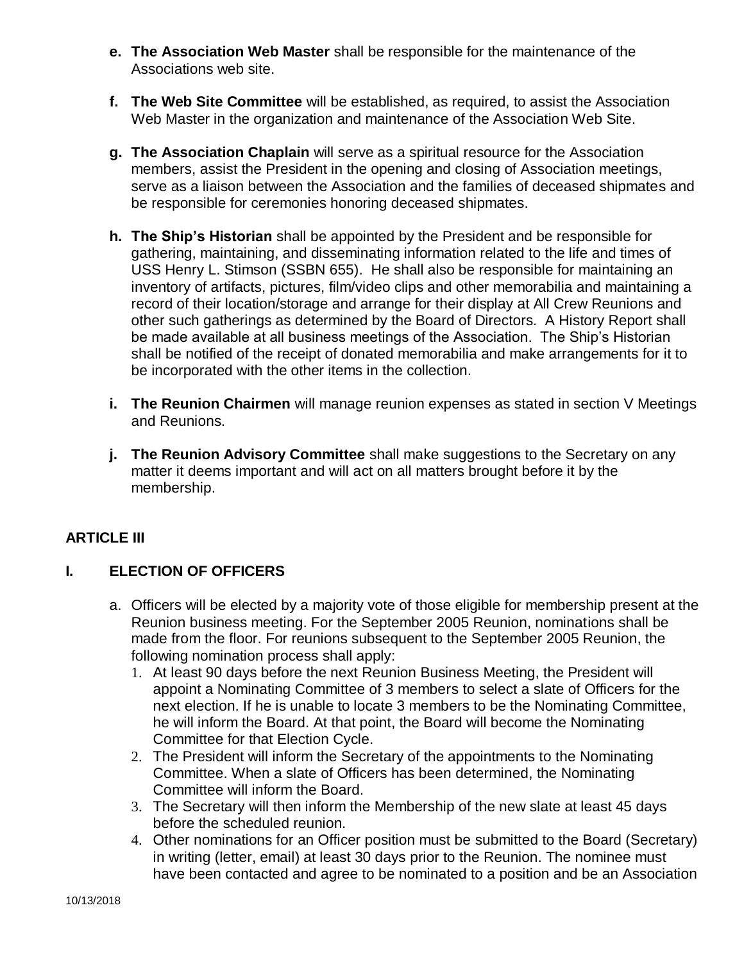- **e. The Association Web Master** shall be responsible for the maintenance of the Associations web site.
- **f. The Web Site Committee** will be established, as required, to assist the Association Web Master in the organization and maintenance of the Association Web Site.
- **g. The Association Chaplain** will serve as a spiritual resource for the Association members, assist the President in the opening and closing of Association meetings, serve as a liaison between the Association and the families of deceased shipmates and be responsible for ceremonies honoring deceased shipmates.
- **h. The Ship's Historian** shall be appointed by the President and be responsible for gathering, maintaining, and disseminating information related to the life and times of USS Henry L. Stimson (SSBN 655). He shall also be responsible for maintaining an inventory of artifacts, pictures, film/video clips and other memorabilia and maintaining a record of their location/storage and arrange for their display at All Crew Reunions and other such gatherings as determined by the Board of Directors. A History Report shall be made available at all business meetings of the Association. The Ship's Historian shall be notified of the receipt of donated memorabilia and make arrangements for it to be incorporated with the other items in the collection.
- **i. The Reunion Chairmen** will manage reunion expenses as stated in section V Meetings and Reunions.
- **j. The Reunion Advisory Committee** shall make suggestions to the Secretary on any matter it deems important and will act on all matters brought before it by the membership.

# **ARTICLE III**

# **I. ELECTION OF OFFICERS**

- a. Officers will be elected by a majority vote of those eligible for membership present at the Reunion business meeting. For the September 2005 Reunion, nominations shall be made from the floor. For reunions subsequent to the September 2005 Reunion, the following nomination process shall apply:
	- 1. At least 90 days before the next Reunion Business Meeting, the President will appoint a Nominating Committee of 3 members to select a slate of Officers for the next election. If he is unable to locate 3 members to be the Nominating Committee, he will inform the Board. At that point, the Board will become the Nominating Committee for that Election Cycle.
	- 2. The President will inform the Secretary of the appointments to the Nominating Committee. When a slate of Officers has been determined, the Nominating Committee will inform the Board.
	- 3. The Secretary will then inform the Membership of the new slate at least 45 days before the scheduled reunion.
	- 4. Other nominations for an Officer position must be submitted to the Board (Secretary) in writing (letter, email) at least 30 days prior to the Reunion. The nominee must have been contacted and agree to be nominated to a position and be an Association